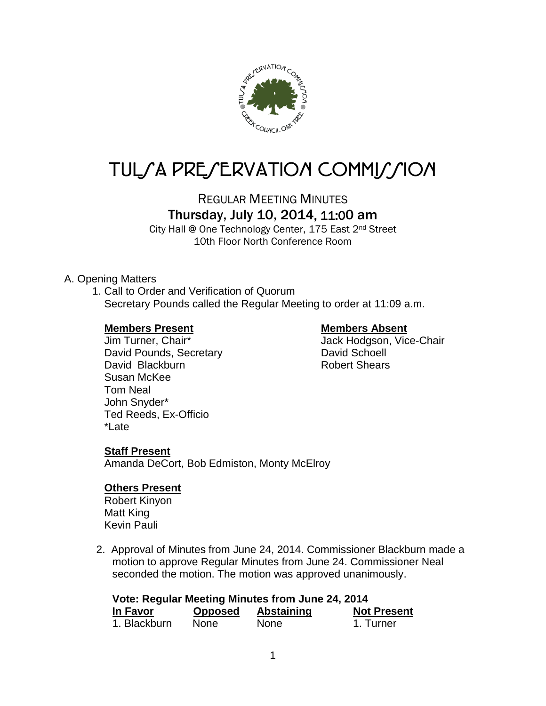

# TUL/A PRE/ERVATION COMMI*J*/ION

REGULAR MEETING MINUTES

## Thursday, July 10, 2014, 11:00 am

City Hall @ One Technology Center, 175 East 2nd Street 10th Floor North Conference Room

## A. Opening Matters

1. Call to Order and Verification of Quorum Secretary Pounds called the Regular Meeting to order at 11:09 a.m.

#### **Members Present Members Absent**

David Pounds, Secretary **David Schoell** David Blackburn **Robert Shears** Susan McKee Tom Neal John Snyder\* Ted Reeds, Ex-Officio \*Late

Jim Turner, Chair\* Jack Hodgson, Vice-Chair

## **Staff Present**

Amanda DeCort, Bob Edmiston, Monty McElroy

#### **Others Present**

Robert Kinyon Matt King Kevin Pauli

2. Approval of Minutes from June 24, 2014. Commissioner Blackburn made a motion to approve Regular Minutes from June 24. Commissioner Neal seconded the motion. The motion was approved unanimously.

| Vote: Regular Meeting Minutes from June 24, 2014 |                |             |                    |  |  |
|--------------------------------------------------|----------------|-------------|--------------------|--|--|
| In Favor                                         | <b>Opposed</b> | Abstaining  | <b>Not Present</b> |  |  |
| 1. Blackburn                                     | <b>None</b>    | <b>None</b> | 1. Turner          |  |  |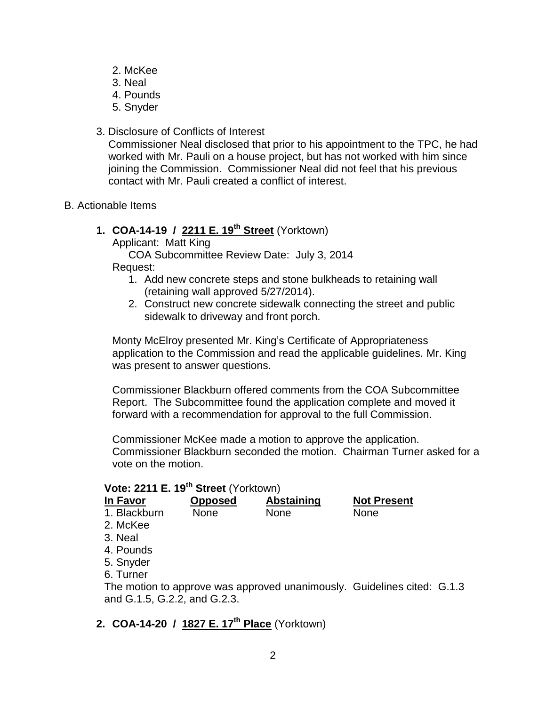- 2. McKee
- 3. Neal
- 4. Pounds
- 5. Snyder
- 3. Disclosure of Conflicts of Interest

Commissioner Neal disclosed that prior to his appointment to the TPC, he had worked with Mr. Pauli on a house project, but has not worked with him since joining the Commission. Commissioner Neal did not feel that his previous contact with Mr. Pauli created a conflict of interest.

B. Actionable Items

## **1. COA-14-19 / 2211 E. 19th Street** (Yorktown)

Applicant: Matt King

COA Subcommittee Review Date: July 3, 2014 Request:

- 1. Add new concrete steps and stone bulkheads to retaining wall (retaining wall approved 5/27/2014).
- 2. Construct new concrete sidewalk connecting the street and public sidewalk to driveway and front porch.

Monty McElroy presented Mr. King's Certificate of Appropriateness application to the Commission and read the applicable guidelines. Mr. King was present to answer questions.

Commissioner Blackburn offered comments from the COA Subcommittee Report. The Subcommittee found the application complete and moved it forward with a recommendation for approval to the full Commission.

Commissioner McKee made a motion to approve the application. Commissioner Blackburn seconded the motion. Chairman Turner asked for a vote on the motion.

## **Vote: 2211 E. 19th Street** (Yorktown)

| <b>In Favor</b>              | <b>Opposed</b> | <b>Abstaining</b>                                                       | <b>Not Present</b> |  |
|------------------------------|----------------|-------------------------------------------------------------------------|--------------------|--|
| 1. Blackburn                 | <b>None</b>    | <b>None</b>                                                             | <b>None</b>        |  |
| 2. McKee                     |                |                                                                         |                    |  |
| 3. Neal                      |                |                                                                         |                    |  |
| 4. Pounds                    |                |                                                                         |                    |  |
| 5. Snyder                    |                |                                                                         |                    |  |
| 6. Turner                    |                |                                                                         |                    |  |
| and G.1.5, G.2.2, and G.2.3. |                | The motion to approve was approved unanimously. Guidelines cited: G.1.3 |                    |  |

## **2. COA-14-20 / 1827 E. 17th Place** (Yorktown)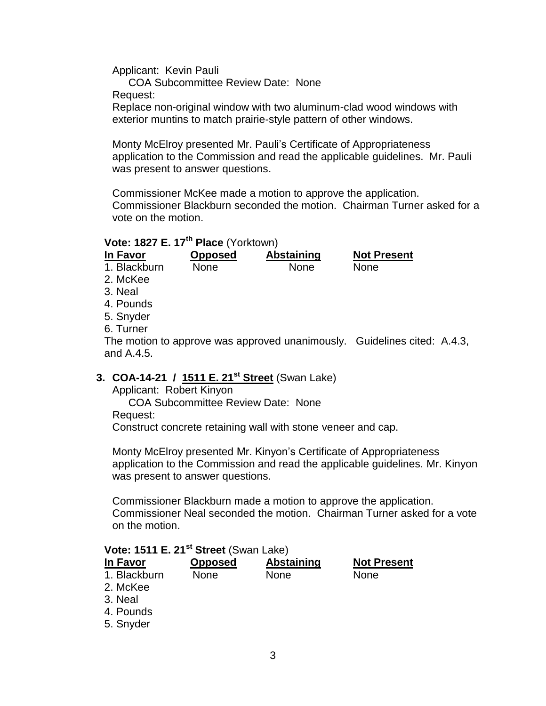Applicant: Kevin Pauli

COA Subcommittee Review Date: None

Request:

Replace non-original window with two aluminum-clad wood windows with exterior muntins to match prairie-style pattern of other windows.

Monty McElroy presented Mr. Pauli's Certificate of Appropriateness application to the Commission and read the applicable guidelines. Mr. Pauli was present to answer questions.

Commissioner McKee made a motion to approve the application. Commissioner Blackburn seconded the motion. Chairman Turner asked for a vote on the motion.

## **Vote: 1827 E. 17th Place** (Yorktown)

| In Favor     | <b>Opposed</b> | <b>Abstaining</b>                                                        | <b>Not Present</b> |  |
|--------------|----------------|--------------------------------------------------------------------------|--------------------|--|
| 1. Blackburn | <b>None</b>    | <b>None</b>                                                              | <b>None</b>        |  |
| 2. McKee     |                |                                                                          |                    |  |
| 3. Neal      |                |                                                                          |                    |  |
| 4. Pounds    |                |                                                                          |                    |  |
| 5. Snyder    |                |                                                                          |                    |  |
| 6. Turner    |                |                                                                          |                    |  |
|              |                | The motion to approve was approved unanimously. Guidelines cited: A.4.3, |                    |  |
| and A.4.5.   |                |                                                                          |                    |  |
|              |                |                                                                          |                    |  |

## **3. COA-14-21 / 1511 E. 21st Street** (Swan Lake)

Applicant: Robert Kinyon

COA Subcommittee Review Date: None Request: Construct concrete retaining wall with stone veneer and cap.

Monty McElroy presented Mr. Kinyon's Certificate of Appropriateness application to the Commission and read the applicable guidelines. Mr. Kinyon was present to answer questions.

Commissioner Blackburn made a motion to approve the application. Commissioner Neal seconded the motion. Chairman Turner asked for a vote on the motion.

#### **Vote: 1511 E. 21st Street** (Swan Lake)

| In Favor             | <b>Opposed</b> | <b>Abstaining</b> | <b>Not Present</b> |
|----------------------|----------------|-------------------|--------------------|
| 1. Blackburn         | <b>None</b>    | None              | <b>None</b>        |
| 2. McKee             |                |                   |                    |
| 3. Neal<br>4. Pounds |                |                   |                    |
| 5. Snyder            |                |                   |                    |